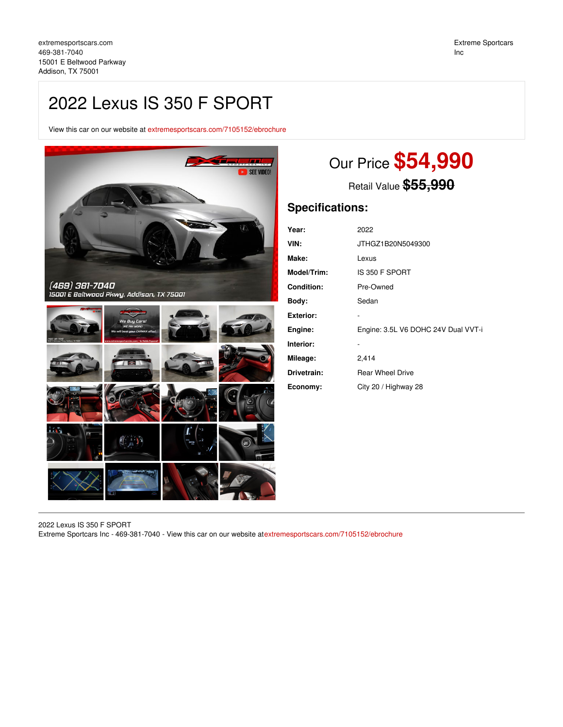# 2022 Lexus IS 350 F SPORT

View this car on our website at [extremesportscars.com/7105152/ebrochure](https://extremesportscars.com/vehicle/7105152/2022-lexus-is-350-f-sport-addison-tx-75001/7105152/ebrochure)



# Our Price **\$54,990**

Retail Value **\$55,990**

## **Specifications:**

| Year:              | 2022                                |
|--------------------|-------------------------------------|
| VIN:               | JTHGZ1B20N5049300                   |
| Make:              | Lexus                               |
| <b>Model/Trim:</b> | IS 350 F SPORT                      |
| <b>Condition:</b>  | Pre-Owned                           |
| Body:              | Sedan                               |
| Exterior:          |                                     |
| Engine:            | Engine: 3.5L V6 DOHC 24V Dual VVT-i |
| Interior:          |                                     |
| Mileage:           | 2,414                               |
| Drivetrain:        | <b>Rear Wheel Drive</b>             |
| Economy:           | City 20 / Highway 28                |

2022 Lexus IS 350 F SPORT Extreme Sportcars Inc - 469-381-7040 - View this car on our website at[extremesportscars.com/7105152/ebrochure](https://extremesportscars.com/vehicle/7105152/2022-lexus-is-350-f-sport-addison-tx-75001/7105152/ebrochure)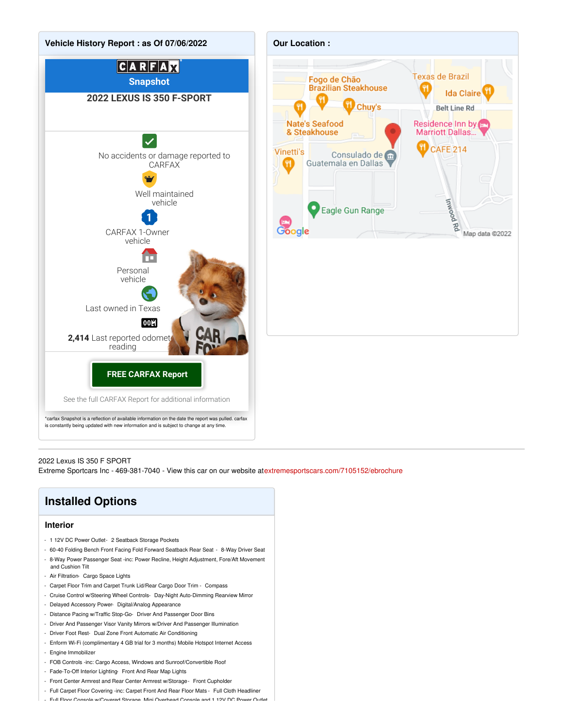

#### 2022 Lexus IS 350 F SPORT

Extreme Sportcars Inc - 469-381-7040 - View this car on our website at[extremesportscars.com/7105152/ebrochure](https://extremesportscars.com/vehicle/7105152/2022-lexus-is-350-f-sport-addison-tx-75001/7105152/ebrochure)

## **Installed Options**

### **Interior**

- 1 12V DC Power Outlet- 2 Seatback Storage Pockets
- 60-40 Folding Bench Front Facing Fold Forward Seatback Rear Seat 8-Way Driver Seat
- 8-Way Power Passenger Seat -inc: Power Recline, Height Adjustment, Fore/Aft Movement and Cushion Tilt
- Air Filtration- Cargo Space Lights
- Carpet Floor Trim and Carpet Trunk Lid/Rear Cargo Door Trim Compass
- Cruise Control w/Steering Wheel Controls- Day-Night Auto-Dimming Rearview Mirror
- Delayed Accessory Power- Digital/Analog Appearance
- Distance Pacing w/Traffic Stop-Go- Driver And Passenger Door Bins
- Driver And Passenger Visor Vanity Mirrors w/Driver And Passenger Illumination
- Driver Foot Rest- Dual Zone Front Automatic Air Conditioning
- Enform Wi-Fi (complimentary 4 GB trial for 3 months) Mobile Hotspot Internet Access
- Engine Immobilizer
- FOB Controls -inc: Cargo Access, Windows and Sunroof/Convertible Roof
- Fade-To-Off Interior Lighting- Front And Rear Map Lights
- Front Center Armrest and Rear Center Armrest w/Storage- Front Cupholder
- Full Carpet Floor Covering -inc: Carpet Front And Rear Floor Mats Full Cloth Headliner
- Full Floor Console w/Covered Storage, Mini Overhead Console and 1 12V DC Power Outlet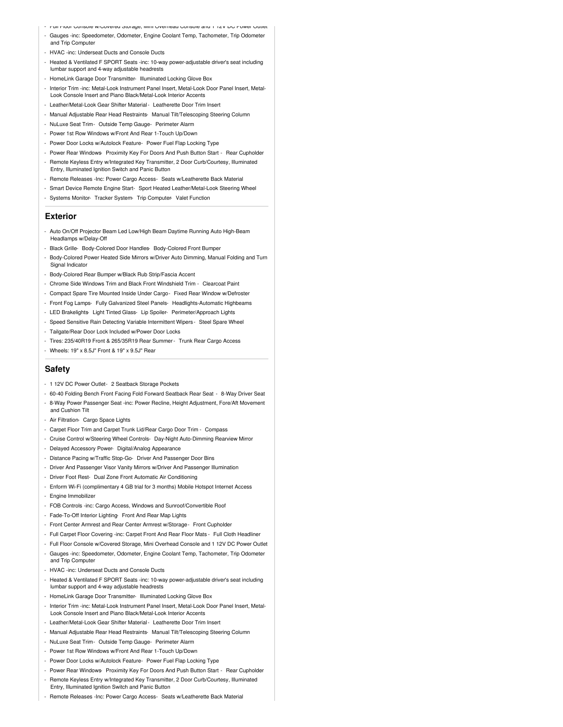- Full Floor Console w/Covered Storage, Mini Overhead Console and 1 12V DC Power Outlet
- Gauges -inc: Speedometer, Odometer, Engine Coolant Temp, Tachometer, Trip Odometer and Trip Computer
- HVAC -inc: Underseat Ducts and Console Ducts
- Heated & Ventilated F SPORT Seats -inc: 10-way power-adjustable driver's seat including lumbar support and 4-way adjustable headrests
- HomeLink Garage Door Transmitter- Illuminated Locking Glove Box
- Interior Trim -inc: Metal-Look Instrument Panel Insert, Metal-Look Door Panel Insert, Metal-Look Console Insert and Piano Black/Metal-Look Interior Accents
- Leather/Metal-Look Gear Shifter Material- Leatherette Door Trim Insert
- Manual Adjustable Rear Head Restraints- Manual Tilt/Telescoping Steering Column
- NuLuxe Seat Trim- Outside Temp Gauge- Perimeter Alarm
- Power 1st Row Windows w/Front And Rear 1-Touch Up/Down
- Power Door Locks w/Autolock Feature- Power Fuel Flap Locking Type
- Power Rear Windows- Proximity Key For Doors And Push Button Start Rear Cupholder
- Remote Keyless Entry w/Integrated Key Transmitter, 2 Door Curb/Courtesy, Illuminated Entry, Illuminated Ignition Switch and Panic Button
- Remote Releases -Inc: Power Cargo Access- Seats w/Leatherette Back Material
- Smart Device Remote Engine Start- Sport Heated Leather/Metal-Look Steering Wheel
- Systems Monitor- Tracker System- Trip Computer- Valet Function

#### **Exterior**

- Auto On/Off Projector Beam Led Low/High Beam Daytime Running Auto High-Beam Headlamps w/Delay-Off
- Black Grille- Body-Colored Door Handles- Body-Colored Front Bumper
- Body-Colored Power Heated Side Mirrors w/Driver Auto Dimming, Manual Folding and Turn Signal Indicator
- Body-Colored Rear Bumper w/Black Rub Strip/Fascia Accent
- Chrome Side Windows Trim and Black Front Windshield Trim Clearcoat Paint
- Compact Spare Tire Mounted Inside Under Cargo- Fixed Rear Window w/Defroster
- Front Fog Lamps- Fully Galvanized Steel Panels- Headlights-Automatic Highbeams
- LED Brakelights- Light Tinted Glass- Lip Spoiler- Perimeter/Approach Lights
- Speed Sensitive Rain Detecting Variable Intermittent Wipers Steel Spare Wheel
- Tailgate/Rear Door Lock Included w/Power Door Locks
- Tires: 235/40R19 Front & 265/35R19 Rear Summer- Trunk Rear Cargo Access
- Wheels: 19" x 8.5J" Front & 19" x 9.5J" Rear

## **Safety**

- 1 12V DC Power Outlet- 2 Seatback Storage Pockets
- 60-40 Folding Bench Front Facing Fold Forward Seatback Rear Seat 8-Way Driver Seat
- 8-Way Power Passenger Seat -inc: Power Recline, Height Adjustment, Fore/Aft Movement
- and Cushion Tilt
- Air Filtration- Cargo Space Lights
- Carpet Floor Trim and Carpet Trunk Lid/Rear Cargo Door Trim Compass
- Cruise Control w/Steering Wheel Controls- Day-Night Auto-Dimming Rearview Mirror
- Delayed Accessory Power- Digital/Analog Appearance
- Distance Pacing w/Traffic Stop-Go- Driver And Passenger Door Bins
- Driver And Passenger Visor Vanity Mirrors w/Driver And Passenger Illumination
- Driver Foot Rest- Dual Zone Front Automatic Air Conditioning
- Enform Wi-Fi (complimentary 4 GB trial for 3 months) Mobile Hotspot Internet Access
- Engine Immobilizer
- FOB Controls -inc: Cargo Access, Windows and Sunroof/Convertible Roof
- Fade-To-Off Interior Lighting- Front And Rear Map Lights
- Front Center Armrest and Rear Center Armrest w/Storage- Front Cupholder
- Full Carpet Floor Covering -inc: Carpet Front And Rear Floor Mats Full Cloth Headliner
- Full Floor Console w/Covered Storage, Mini Overhead Console and 1 12V DC Power Outlet - Gauges -inc: Speedometer, Odometer, Engine Coolant Temp, Tachometer, Trip Odometer and Trip Computer
- HVAC -inc: Underseat Ducts and Console Ducts
- Heated & Ventilated F SPORT Seats -inc: 10-way power-adjustable driver's seat including lumbar support and 4-way adjustable headrests
- HomeLink Garage Door Transmitter- Illuminated Locking Glove Box
- Interior Trim -inc: Metal-Look Instrument Panel Insert, Metal-Look Door Panel Insert, Metal-Look Console Insert and Piano Black/Metal-Look Interior Accents
- Leather/Metal-Look Gear Shifter Material- Leatherette Door Trim Insert
- Manual Adjustable Rear Head Restraints- Manual Tilt/Telescoping Steering Column
- NuLuxe Seat Trim- Outside Temp Gauge- Perimeter Alarm
- Power 1st Row Windows w/Front And Rear 1-Touch Up/Down
- Power Door Locks w/Autolock Feature- Power Fuel Flap Locking Type
- Power Rear Windows- Proximity Key For Doors And Push Button Start Rear Cupholder
- Remote Keyless Entry w/Integrated Key Transmitter, 2 Door Curb/Courtesy, Illuminated Entry, Illuminated Ignition Switch and Panic Button
- Remote Releases -Inc: Power Cargo Access- Seats w/Leatherette Back Material